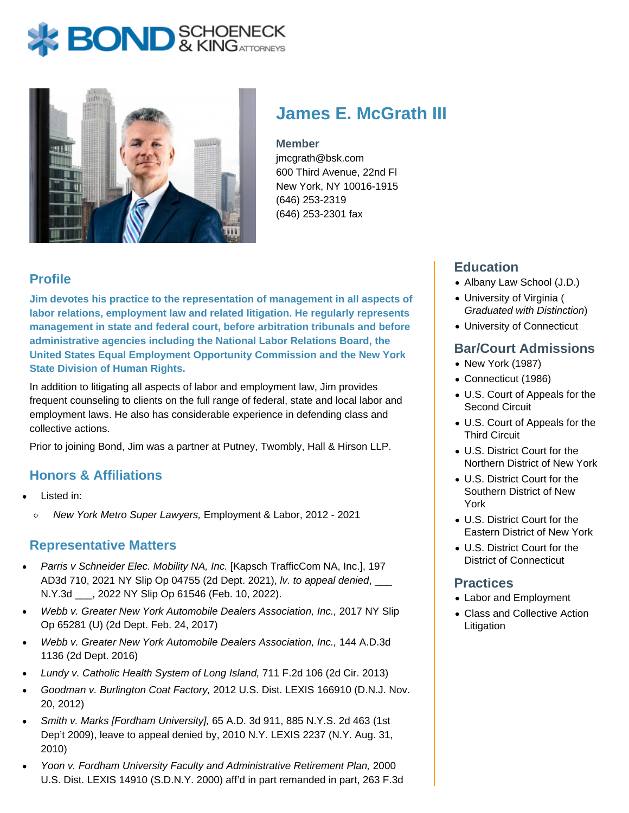# **BOND** & KINGATTORNECK



# **James E. McGrath III**

#### **Member**

jmcgrath@bsk.com 600 Third Avenue, 22nd Fl New York, NY 10016-1915 (646) 253-2319 (646) 253-2301 fax

## **Profile**

**Jim devotes his practice to the representation of management in all aspects of labor relations, employment law and related litigation. He regularly represents management in state and federal court, before arbitration tribunals and before administrative agencies including the National Labor Relations Board, the United States Equal Employment Opportunity Commission and the New York State Division of Human Rights.**

In addition to litigating all aspects of labor and employment law, Jim provides frequent counseling to clients on the full range of federal, state and local labor and employment laws. He also has considerable experience in defending class and collective actions.

Prior to joining Bond, Jim was a partner at Putney, Twombly, Hall & Hirson LLP.

### **Honors & Affiliations**

- Listed in:
	- New York Metro Super Lawyers, Employment & Labor, 2012 2021  $\circ$

#### **Representative Matters**

- Parris v Schneider Elec. Mobility NA, Inc. [Kapsch TrafficCom NA, Inc.], 197 AD3d 710, 2021 NY Slip Op 04755 (2d Dept. 2021), lv. to appeal denied, \_\_\_ N.Y.3d \_\_\_, 2022 NY Slip Op 61546 (Feb. 10, 2022).
- Webb v. Greater New York Automobile Dealers Association, Inc., 2017 NY Slip Op 65281 (U) (2d Dept. Feb. 24, 2017)
- Webb v. Greater New York Automobile Dealers Association, Inc., 144 A.D.3d 1136 (2d Dept. 2016)
- Lundy v. Catholic Health System of Long Island, 711 F.2d 106 (2d Cir. 2013)
- Goodman v. Burlington Coat Factory, 2012 U.S. Dist. LEXIS 166910 (D.N.J. Nov. 20, 2012)
- Smith v. Marks [Fordham University], 65 A.D. 3d 911, 885 N.Y.S. 2d 463 (1st Dep't 2009), leave to appeal denied by, 2010 N.Y. LEXIS 2237 (N.Y. Aug. 31, 2010)
- Yoon v. Fordham University Faculty and Administrative Retirement Plan, 2000 U.S. Dist. LEXIS 14910 (S.D.N.Y. 2000) aff'd in part remanded in part, 263 F.3d

### **Education**

- Albany Law School (J.D.)
- University of Virginia ( Graduated with Distinction)
- University of Connecticut

### **Bar/Court Admissions**

- New York (1987)
- Connecticut (1986)
- U.S. Court of Appeals for the Second Circuit
- U.S. Court of Appeals for the Third Circuit
- U.S. District Court for the Northern District of New York
- U.S. District Court for the Southern District of New York
- U.S. District Court for the Eastern District of New York
- U.S. District Court for the District of Connecticut

#### **Practices**

- Labor and Employment
- Class and Collective Action Litigation